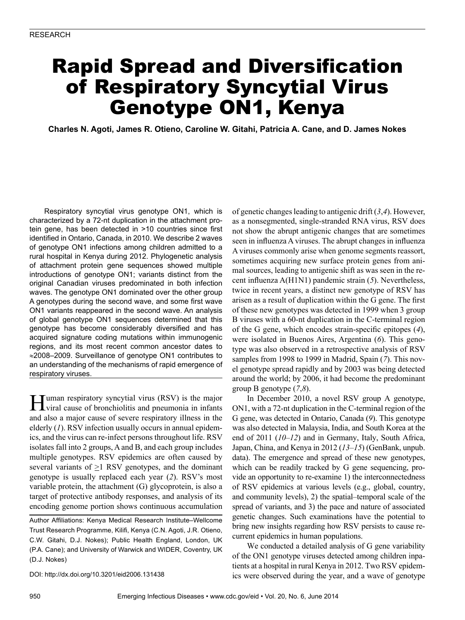# Rapid Spread and Diversification of Respiratory Syncytial Virus Genotype ON1, Kenya

**Charles N. Agoti, James R. Otieno, Caroline W. Gitahi, Patricia A. Cane, and D. James Nokes**

Respiratory syncytial virus genotype ON1, which is characterized by a 72-nt duplication in the attachment protein gene, has been detected in >10 countries since first identified in Ontario, Canada, in 2010. We describe 2 waves of genotype ON1 infections among children admitted to a rural hospital in Kenya during 2012. Phylogenetic analysis of attachment protein gene sequences showed multiple introductions of genotype ON1; variants distinct from the original Canadian viruses predominated in both infection waves. The genotype ON1 dominated over the other group A genotypes during the second wave, and some first wave ON1 variants reappeared in the second wave. An analysis of global genotype ON1 sequences determined that this genotype has become considerably diversified and has acquired signature coding mutations within immunogenic regions, and its most recent common ancestor dates to ≈2008–2009. Surveillance of genotype ON1 contributes to an understanding of the mechanisms of rapid emergence of respiratory viruses.

Human respiratory syncytial virus (RSV) is the major viral cause of bronchiolitis and pneumonia in infants and also a major cause of severe respiratory illness in the elderly (*1*). RSV infection usually occurs in annual epidemics, and the virus can re-infect persons throughout life. RSV isolates fall into 2 groups, A and B, and each group includes multiple genotypes. RSV epidemics are often caused by several variants of  $\geq$ 1 RSV genotypes, and the dominant genotype is usually replaced each year (*2*). RSV's most variable protein, the attachment (G) glycoprotein, is also a target of protective antibody responses, and analysis of its encoding genome portion shows continuous accumulation

Author Affiliations: Kenya Medical Research Institute–Wellcome Trust Research Programme, Kilifi, Kenya (C.N. Agoti, J.R. Otieno, C.W. Gitahi, D.J. Nokes); Public Health England, London, UK (P.A. Cane); and University of Warwick and WIDER, Coventry, UK (D.J. Nokes)

DOI: http://dx.doi.org/10.3201/eid2006.131438

of genetic changes leading to antigenic drift (*3*,*4*). However, as a nonsegmented, single-stranded RNA virus, RSV does not show the abrupt antigenic changes that are sometimes seen in influenza A viruses. The abrupt changes in influenza A viruses commonly arise when genome segments reassort, sometimes acquiring new surface protein genes from animal sources, leading to antigenic shift as was seen in the recent influenza A(H1N1) pandemic strain (*5*). Nevertheless, twice in recent years, a distinct new genotype of RSV has arisen as a result of duplication within the G gene. The first of these new genotypes was detected in 1999 when 3 group B viruses with a 60-nt duplication in the C-terminal region of the G gene, which encodes strain-specific epitopes (*4*), were isolated in Buenos Aires, Argentina (*6*). This genotype was also observed in a retrospective analysis of RSV samples from 1998 to 1999 in Madrid, Spain (*7*). This novel genotype spread rapidly and by 2003 was being detected around the world; by 2006, it had become the predominant group B genotype (*7*,*8*).

In December 2010, a novel RSV group A genotype, ON1, with a 72-nt duplication in the C-terminal region of the G gene, was detected in Ontario, Canada (*9*). This genotype was also detected in Malaysia, India, and South Korea at the end of 2011 (*10*–*12*) and in Germany, Italy, South Africa, Japan, China, and Kenya in 2012 (*13*–*15*) (GenBank, unpub. data). The emergence and spread of these new genotypes, which can be readily tracked by G gene sequencing, provide an opportunity to re-examine 1) the interconnectedness of RSV epidemics at various levels (e.g., global, country, and community levels), 2) the spatial–temporal scale of the spread of variants, and 3) the pace and nature of associated genetic changes. Such examinations have the potential to bring new insights regarding how RSV persists to cause recurrent epidemics in human populations.

We conducted a detailed analysis of G gene variability of the ON1 genotype viruses detected among children inpatients at a hospital in rural Kenya in 2012. Two RSV epidemics were observed during the year, and a wave of genotype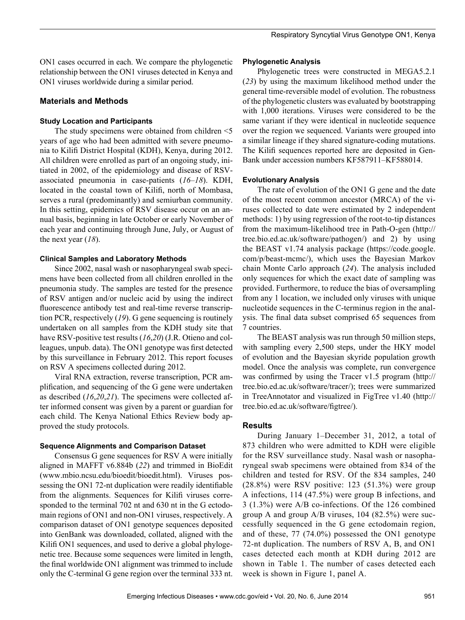ON1 cases occurred in each. We compare the phylogenetic relationship between the ON1 viruses detected in Kenya and ON1 viruses worldwide during a similar period.

# **Materials and Methods**

# **Study Location and Participants**

The study specimens were obtained from children <5 years of age who had been admitted with severe pneumonia to Kilifi District Hospital (KDH), Kenya, during 2012. All children were enrolled as part of an ongoing study, initiated in 2002, of the epidemiology and disease of RSVassociated pneumonia in case-patients (*16*–*18*). KDH, located in the coastal town of Kilifi, north of Mombasa, serves a rural (predominantly) and semiurban community. In this setting, epidemics of RSV disease occur on an annual basis, beginning in late October or early November of each year and continuing through June, July, or August of the next year (*18*).

# **Clinical Samples and Laboratory Methods**

Since 2002, nasal wash or nasopharyngeal swab specimens have been collected from all children enrolled in the pneumonia study. The samples are tested for the presence of RSV antigen and/or nucleic acid by using the indirect fluorescence antibody test and real-time reverse transcription PCR, respectively (*19*). G gene sequencing is routinely undertaken on all samples from the KDH study site that have RSV-positive test results (*16*,*20*) (J.R. Otieno and colleagues, unpub. data). The ON1 genotype was first detected by this surveillance in February 2012. This report focuses on RSV A specimens collected during 2012.

Viral RNA extraction, reverse transcription, PCR amplification, and sequencing of the G gene were undertaken as described (*16*,*20*,*21*). The specimens were collected after informed consent was given by a parent or guardian for each child. The Kenya National Ethics Review body approved the study protocols.

# **Sequence Alignments and Comparison Dataset**

Consensus G gene sequences for RSV A were initially aligned in MAFFT v6.884b (*22*) and trimmed in BioEdit (www.mbio.ncsu.edu/bioedit/bioedit.html). Viruses possessing the ON1 72-nt duplication were readily identifiable from the alignments. Sequences for Kilifi viruses corresponded to the terminal 702 nt and 630 nt in the G ectodomain regions of ON1 and non-ON1 viruses, respectively. A comparison dataset of ON1 genotype sequences deposited into GenBank was downloaded, collated, aligned with the Kilifi ON1 sequences, and used to derive a global phylogenetic tree. Because some sequences were limited in length, the final worldwide ON1 alignment was trimmed to include only the C-terminal G gene region over the terminal 333 nt.

# **Phylogenetic Analysis**

Phylogenetic trees were constructed in MEGA5.2.1 (*23*) by using the maximum likelihood method under the general time-reversible model of evolution. The robustness of the phylogenetic clusters was evaluated by bootstrapping with 1,000 iterations. Viruses were considered to be the same variant if they were identical in nucleotide sequence over the region we sequenced. Variants were grouped into a similar lineage if they shared signature-coding mutations. The Kilifi sequences reported here are deposited in Gen-Bank under accession numbers KF587911–KF588014.

# **Evolutionary Analysis**

The rate of evolution of the ON1 G gene and the date of the most recent common ancestor (MRCA) of the viruses collected to date were estimated by 2 independent methods: 1) by using regression of the root-to-tip distances from the maximum-likelihood tree in Path-O-gen (http:// tree.bio.ed.ac.uk/software/pathogen/) and 2) by using the BEAST v1.74 analysis package (https://code.google. com/p/beast-mcmc/), which uses the Bayesian Markov chain Monte Carlo approach (*24*). The analysis included only sequences for which the exact date of sampling was provided. Furthermore, to reduce the bias of oversampling from any 1 location, we included only viruses with unique nucleotide sequences in the C-terminus region in the analysis. The final data subset comprised 65 sequences from 7 countries.

The BEAST analysis was run through 50 million steps, with sampling every 2,500 steps, under the HKY model of evolution and the Bayesian skyride population growth model. Once the analysis was complete, run convergence was confirmed by using the Tracer v1.5 program (http:// tree.bio.ed.ac.uk/software/tracer/); trees were summarized in TreeAnnotator and visualized in FigTree v1.40 (http:// tree.bio.ed.ac.uk/software/figtree/).

# **Results**

During January 1–December 31, 2012, a total of 873 children who were admitted to KDH were eligible for the RSV surveillance study. Nasal wash or nasopharyngeal swab specimens were obtained from 834 of the children and tested for RSV. Of the 834 samples, 240  $(28.8\%)$  were RSV positive: 123  $(51.3\%)$  were group A infections, 114 (47.5%) were group B infections, and 3 (1.3%) were A/B co-infections. Of the 126 combined group A and group A/B viruses, 104 (82.5%) were successfully sequenced in the G gene ectodomain region, and of these, 77 (74.0%) possessed the ON1 genotype 72-nt duplication. The numbers of RSV A, B, and ON1 cases detected each month at KDH during 2012 are shown in Table 1. The number of cases detected each week is shown in Figure 1, panel A.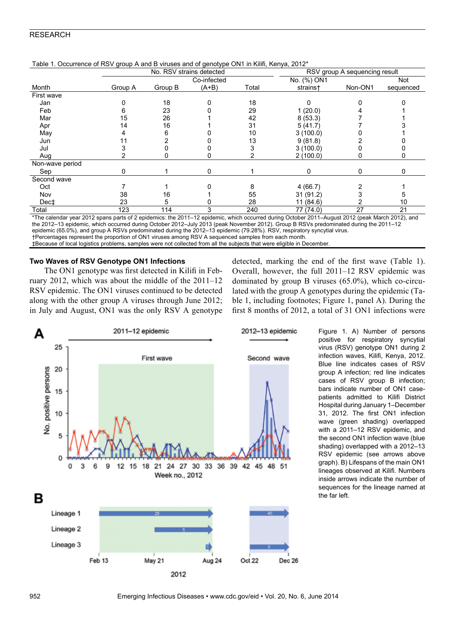| Table 1. Occurrence of RSV group A and B viruses and or genotype ONT in Killii, Kenya, 2012" |         |                          |             |       |             |                               |            |  |
|----------------------------------------------------------------------------------------------|---------|--------------------------|-------------|-------|-------------|-------------------------------|------------|--|
|                                                                                              |         | No. RSV strains detected |             |       |             | RSV group A sequencing result |            |  |
|                                                                                              |         |                          | Co-infected |       | No. (%) ON1 |                               | <b>Not</b> |  |
| Month                                                                                        | Group A | Group B                  | $(A+B)$     | Total | strains+    | Non-ON1                       | sequenced  |  |
| First wave                                                                                   |         |                          |             |       |             |                               |            |  |
| Jan                                                                                          |         | 18                       |             | 18    |             |                               |            |  |
| Feb                                                                                          |         | 23                       |             | 29    | 1(20.0)     |                               |            |  |
| Mar                                                                                          | 15      | 26                       |             | 42    | 8(53.3)     |                               |            |  |
| Apr                                                                                          | 14      | 16                       |             | 31    | 5(41.7)     |                               |            |  |
| May                                                                                          |         |                          |             | 10    | 3(100.0)    |                               |            |  |
| Jun                                                                                          |         |                          |             | 13    | 9(81.8)     |                               |            |  |
| Jul                                                                                          |         |                          |             |       | 3(100.0)    |                               |            |  |
| Aug                                                                                          |         |                          |             |       | 2(100.0)    |                               |            |  |
| Non-wave period                                                                              |         |                          |             |       |             |                               |            |  |
| Sep                                                                                          | 0       |                          | 0           |       | 0           | 0                             | 0          |  |
| Second wave                                                                                  |         |                          |             |       |             |                               |            |  |
| Oct                                                                                          |         |                          |             |       | 4(66.7)     |                               |            |  |
| Nov                                                                                          | 38      | 16                       |             | 55    | 31(91.2)    |                               |            |  |
| Dec‡                                                                                         | 23      |                          |             | 28    | 11(84.6)    |                               | 10         |  |
| Total                                                                                        | 123     | 114                      |             | 240   | 77 (74.0)   | 27                            | 21         |  |
| $- - - -$                                                                                    |         |                          |             |       |             |                               |            |  |

Table 1. Occurrence of RSV group A and B viruses and of genotype ON1 in Kilifi, Kenya, 2012\*

\*The calendar year 2012 spans parts of 2 epidemics: the 2011–12 epidemic, which occurred during October 2011–August 2012 (peak March 2012), and the 2012–13 epidemic, which occurred during October 2012–July 2013 (peak November 2012). Group B RSVs predominated during the 2011–12 epidemic (65.0%), and group A RSVs predominated during the 2012–13 epidemic (79.28%). RSV, respiratory syncytial virus.

†Percentages represent the proportion of ON1 viruses among RSV A sequenced samples from each month.

‡Because of local logistics problems, samples were not collected from all the subjects that were eligible in December.

# **Two Waves of RSV Genotype ON1 Infections**

The ON1 genotype was first detected in Kilifi in February 2012, which was about the middle of the 2011–12 RSV epidemic. The ON1 viruses continued to be detected along with the other group A viruses through June 2012; in July and August, ON1 was the only RSV A genotype detected, marking the end of the first wave (Table 1). Overall, however, the full 2011–12 RSV epidemic was dominated by group B viruses (65.0%), which co-circulated with the group A genotypes during the epidemic (Table 1, including footnotes; Figure 1, panel A). During the first 8 months of 2012, a total of 31 ON1 infections were



Figure 1. A) Number of persons positive for respiratory syncytial virus (RSV) genotype ON1 during 2 infection waves, Kilifi, Kenya, 2012. Blue line indicates cases of RSV group A infection; red line indicates cases of RSV group B infection; bars indicate number of ON1 casepatients admitted to Kilifi District Hospital during January 1–December 31, 2012. The first ON1 infection wave (green shading) overlapped with a 2011–12 RSV epidemic, and the second ON1 infection wave (blue shading) overlapped with a 2012–13 RSV epidemic (see arrows above graph). B) Lifespans of the main ON1 lineages observed at Kilifi. Numbers inside arrows indicate the number of sequences for the lineage named at the far left.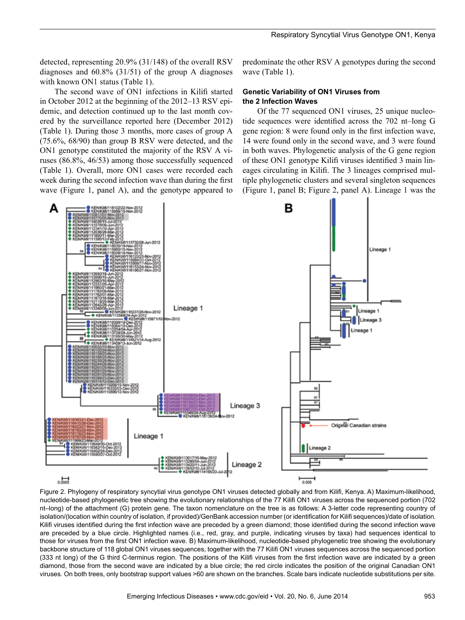detected, representing 20.9% (31/148) of the overall RSV diagnoses and  $60.8\%$  (31/51) of the group A diagnoses with known ON1 status (Table 1).

The second wave of ON1 infections in Kilifi started in October 2012 at the beginning of the 2012–13 RSV epidemic, and detection continued up to the last month covered by the surveillance reported here (December 2012) (Table 1). During those 3 months, more cases of group A (75.6%, 68/90) than group B RSV were detected, and the ON1 genotype constituted the majority of the RSV A viruses (86.8%, 46/53) among those successfully sequenced (Table 1). Overall, more ON1 cases were recorded each week during the second infection wave than during the first wave (Figure 1, panel A), and the genotype appeared to predominate the other RSV A genotypes during the second wave (Table 1).

# **Genetic Variability of ON1 Viruses from the 2 Infection Waves**

Of the 77 sequenced ON1 viruses, 25 unique nucleotide sequences were identified across the 702 nt–long G gene region: 8 were found only in the first infection wave, 14 were found only in the second wave, and 3 were found in both waves. Phylogenetic analysis of the G gene region of these ON1 genotype Kilifi viruses identified 3 main lineages circulating in Kilifi. The 3 lineages comprised multiple phylogenetic clusters and several singleton sequences (Figure 1, panel B; Figure 2, panel A). Lineage 1 was the



Figure 2. Phylogeny of respiratory syncytial virus genotype ON1 viruses detected globally and from Kilifi, Kenya. A) Maximum-likelihood, nucleotide-based phylogenetic tree showing the evolutionary relationships of the 77 Kilifi ON1 viruses across the sequenced portion (702 nt–long) of the attachment (G) protein gene. The taxon nomenclature on the tree is as follows: A 3-letter code representing country of isolation/(location within country of isolation, if provided)/GenBank accession number (or identification for Kilifi sequences)/date of isolation. Kilifi viruses identified during the first infection wave are preceded by a green diamond; those identified during the second infection wave are preceded by a blue circle. Highlighted names (i.e., red, gray, and purple, indicating viruses by taxa) had sequences identical to those for viruses from the first ON1 infection wave. B) Maximum-likelihood, nucleotide-based phylogenetic tree showing the evolutionary backbone structure of 118 global ON1 viruses sequences, together with the 77 Kilifi ON1 viruses sequences across the sequenced portion (333 nt long) of the G third C-terminus region. The positions of the Kilifi viruses from the first infection wave are indicated by a green diamond, those from the second wave are indicated by a blue circle; the red circle indicates the position of the original Canadian ON1 viruses. On both trees, only bootstrap support values >60 are shown on the branches. Scale bars indicate nucleotide substitutions per site.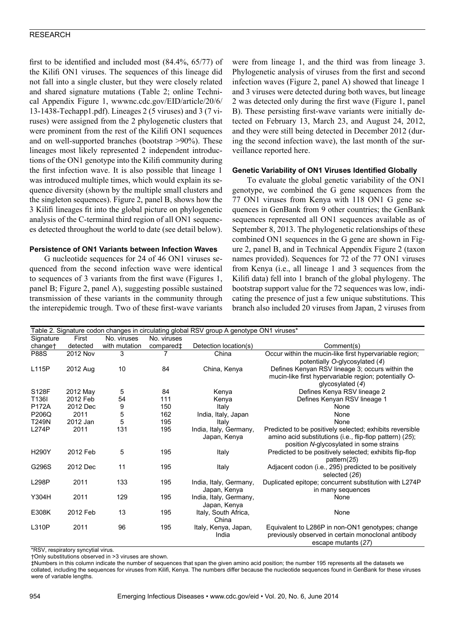first to be identified and included most (84.4%, 65/77) of the Kilifi ON1 viruses. The sequences of this lineage did not fall into a single cluster, but they were closely related and shared signature mutations (Table 2; online Technical Appendix Figure 1, wwwnc.cdc.gov/EID/article/20/6/ 13-1438-Techapp1.pdf). Lineages 2 (5 viruses) and 3 (7 viruses) were assigned from the 2 phylogenetic clusters that were prominent from the rest of the Kilifi ON1 sequences and on well-supported branches (bootstrap >90%). These lineages most likely represented 2 independent introductions of the ON1 genotype into the Kilifi community during the first infection wave. It is also possible that lineage 1 was introduced multiple times, which would explain its sequence diversity (shown by the multiple small clusters and the singleton sequences). Figure 2, panel B, shows how the 3 Kilifi lineages fit into the global picture on phylogenetic analysis of the C-terminal third region of all ON1 sequences detected throughout the world to date (see detail below).

# **Persistence of ON1 Variants between Infection Waves**

G nucleotide sequences for 24 of 46 ON1 viruses sequenced from the second infection wave were identical to sequences of 3 variants from the first wave (Figures 1, panel B; Figure 2, panel A), suggesting possible sustained transmission of these variants in the community through the interepidemic trough. Two of these first-wave variants were from lineage 1, and the third was from lineage 3. Phylogenetic analysis of viruses from the first and second infection waves (Figure 2, panel A) showed that lineage 1 and 3 viruses were detected during both waves, but lineage 2 was detected only during the first wave (Figure 1, panel B). These persisting first-wave variants were initially detected on February 13, March 23, and August 24, 2012, and they were still being detected in December 2012 (during the second infection wave), the last month of the surveillance reported here.

#### **Genetic Variability of ON1 Viruses Identified Globally**

To evaluate the global genetic variability of the ON1 genotype, we combined the G gene sequences from the 77 ON1 viruses from Kenya with 118 ON1 G gene sequences in GenBank from 9 other countries; the GenBank sequences represented all ON1 sequences available as of September 8, 2013. The phylogenetic relationships of these combined ON1 sequences in the G gene are shown in Figure 2, panel B, and in Technical Appendix Figure 2 (taxon names provided). Sequences for 72 of the 77 ON1 viruses from Kenya (i.e., all lineage 1 and 3 sequences from the Kilifi data) fell into 1 branch of the global phylogeny. The bootstrap support value for the 72 sequences was low, indicating the presence of just a few unique substitutions. This branch also included 20 viruses from Japan, 2 viruses from

| Table 2. Signature codon changes in circulating global RSV group A genotype ON1 viruses* |          |               |             |                                        |                                                                                                                                                                 |  |  |
|------------------------------------------------------------------------------------------|----------|---------------|-------------|----------------------------------------|-----------------------------------------------------------------------------------------------------------------------------------------------------------------|--|--|
| Signature                                                                                | First    | No. viruses   | No. viruses |                                        |                                                                                                                                                                 |  |  |
| change†                                                                                  | detected | with mutation | compared‡   | Detection location(s)                  | Comment(s)                                                                                                                                                      |  |  |
| <b>P88S</b>                                                                              | 2012 Nov | 3             |             | China                                  | Occur within the mucin-like first hypervariable region;<br>potentially O-glycosylated (4)                                                                       |  |  |
| L115P                                                                                    | 2012 Aug | 10            | 84          | China, Kenya                           | Defines Kenyan RSV lineage 3; occurs within the<br>mucin-like first hypervariable region; potentially O-<br>glycosylated $(4)$                                  |  |  |
| S128F                                                                                    | 2012 May | 5             | 84          | Kenya                                  | Defines Kenya RSV lineage 2                                                                                                                                     |  |  |
| T136I                                                                                    | 2012 Feb | 54            | 111         | Kenya                                  | Defines Kenyan RSV lineage 1                                                                                                                                    |  |  |
| P172A                                                                                    | 2012 Dec | 9             | 150         | Italy                                  | None                                                                                                                                                            |  |  |
| P206Q                                                                                    | 2011     | 5             | 162         | India, Italy, Japan                    | None                                                                                                                                                            |  |  |
| T249N                                                                                    | 2012 Jan | 5             | 195         | Italy                                  | None                                                                                                                                                            |  |  |
| L274P                                                                                    | 2011     | 131           | 195         | India, Italy, Germany,<br>Japan, Kenya | Predicted to be positively selected; exhibits reversible<br>amino acid substitutions (i.e., flip-flop pattern) (25);<br>position N-glycosylated in some strains |  |  |
| H290Y                                                                                    | 2012 Feb | 5             | 195         | Italy                                  | Predicted to be positively selected; exhibits flip-flop<br>pattern(25)                                                                                          |  |  |
| G296S                                                                                    | 2012 Dec | 11            | 195         | Italy                                  | Adjacent codon (i.e., 295) predicted to be positively<br>selected (26)                                                                                          |  |  |
| L298P                                                                                    | 2011     | 133           | 195         | India, Italy, Germany,<br>Japan, Kenya | Duplicated epitope; concurrent substitution with L274P<br>in many sequences                                                                                     |  |  |
| Y304H                                                                                    | 2011     | 129           | 195         | India, Italy, Germany,<br>Japan, Kenya | None                                                                                                                                                            |  |  |
| E308K                                                                                    | 2012 Feb | 13            | 195         | Italy, South Africa,<br>China          | None                                                                                                                                                            |  |  |
| L310P                                                                                    | 2011     | 96            | 195         | Italy, Kenya, Japan,<br>India          | Equivalent to L286P in non-ON1 genotypes; change<br>previously observed in certain monoclonal antibody<br>escape mutants (27)                                   |  |  |

\*RSV, respiratory syncytial virus.

†Only substitutions observed in >3 viruses are shown.

‡Numbers in this column indicate the number of sequences that span the given amino acid position; the number 195 represents all the datasets we collated, including the sequences for viruses from Kilifi, Kenya. The numbers differ because the nucleotide sequences found in GenBank for these viruses were of variable lengths.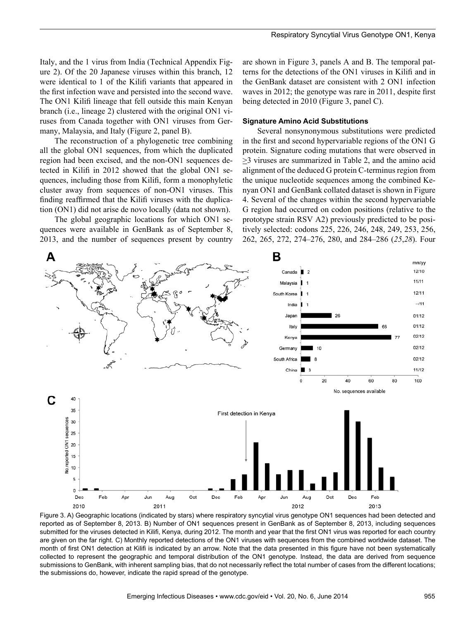Italy, and the 1 virus from India (Technical Appendix Figure 2). Of the 20 Japanese viruses within this branch, 12 were identical to 1 of the Kilifi variants that appeared in the first infection wave and persisted into the second wave. The ON1 Kilifi lineage that fell outside this main Kenyan branch (i.e., lineage 2) clustered with the original ON1 viruses from Canada together with ON1 viruses from Germany, Malaysia, and Italy (Figure 2, panel B).

The reconstruction of a phylogenetic tree combining all the global ON1 sequences, from which the duplicated region had been excised, and the non-ON1 sequences detected in Kilifi in 2012 showed that the global ON1 sequences, including those from Kilifi, form a monophyletic cluster away from sequences of non-ON1 viruses. This finding reaffirmed that the Kilifi viruses with the duplication (ON1) did not arise de novo locally (data not shown).

The global geographic locations for which ON1 sequences were available in GenBank as of September 8, 2013, and the number of sequences present by country

are shown in Figure 3, panels A and B. The temporal patterns for the detections of the ON1 viruses in Kilifi and in the GenBank dataset are consistent with 2 ON1 infection waves in 2012; the genotype was rare in 2011, despite first being detected in 2010 (Figure 3, panel C).

#### **Signature Amino Acid Substitutions**

Several nonsynonymous substitutions were predicted in the first and second hypervariable regions of the ON1 G protein. Signature coding mutations that were observed in  $\geq$ 3 viruses are summarized in Table 2, and the amino acid alignment of the deduced G protein C-terminus region from the unique nucleotide sequences among the combined Kenyan ON1 and GenBank collated dataset is shown in Figure 4. Several of the changes within the second hypervariable G region had occurred on codon positions (relative to the prototype strain RSV A2) previously predicted to be positively selected: codons 225, 226, 246, 248, 249, 253, 256, 262, 265, 272, 274–276, 280, and 284–286 (*25*,*28*). Four



Figure 3. A) Geographic locations (indicated by stars) where respiratory syncytial virus genotype ON1 sequences had been detected and reported as of September 8, 2013. B) Number of ON1 sequences present in GenBank as of September 8, 2013, including sequences submitted for the viruses detected in Kilifi, Kenya, during 2012. The month and year that the first ON1 virus was reported for each country are given on the far right. C) Monthly reported detections of the ON1 viruses with sequences from the combined worldwide dataset. The month of first ON1 detection at Kilifi is indicated by an arrow. Note that the data presented in this figure have not been systematically collected to represent the geographic and temporal distribution of the ON1 genotype. Instead, the data are derived from sequence submissions to GenBank, with inherent sampling bias, that do not necessarily reflect the total number of cases from the different locations; the submissions do, however, indicate the rapid spread of the genotype.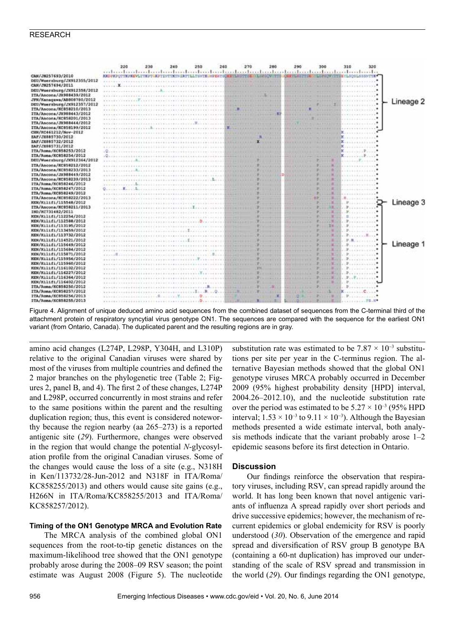

Figure 4. Alignment of unique deduced amino acid sequences from the combined dataset of sequences from the C-terminal third of the attachment protein of respiratory syncytial virus genotype ON1. The sequences are compared with the sequence for the earliest ON1 variant (from Ontario, Canada). The duplicated parent and the resulting regions are in gray.

amino acid changes (L274P, L298P, Y304H, and L310P) relative to the original Canadian viruses were shared by most of the viruses from multiple countries and defined the 2 major branches on the phylogenetic tree (Table 2; Figures 2, panel B, and 4). The first 2 of these changes, L274P and L298P, occurred concurrently in most strains and refer to the same positions within the parent and the resulting duplication region; thus, this event is considered noteworthy because the region nearby (aa 265–273) is a reported antigenic site (*29*). Furthermore, changes were observed in the region that would change the potential *N*-glycosylation profile from the original Canadian viruses. Some of the changes would cause the loss of a site (e.g., N318H in Ken/113732/28-Jun-2012 and N318F in ITA/Roma/ KC858255/2013) and others would cause site gains (e.g., H266N in ITA/Roma/KC858255/2013 and ITA/Roma/ KC858257/2012).

# **Timing of the ON1 Genotype MRCA and Evolution Rate**

The MRCA analysis of the combined global ON1 sequences from the root-to-tip genetic distances on the maximum-likelihood tree showed that the ON1 genotype probably arose during the 2008–09 RSV season; the point estimate was August 2008 (Figure 5). The nucleotide

substitution rate was estimated to be  $7.87 \times 10^{-3}$  substitutions per site per year in the C-terminus region. The alternative Bayesian methods showed that the global ON1 genotype viruses MRCA probably occurred in December 2009 (95% highest probability density [HPD] interval, 2004.26–2012.10), and the nucleotide substitution rate over the period was estimated to be  $5.27 \times 10^{-3}$  (95% HPD) interval;  $1.53 \times 10^{-3}$  to  $9.11 \times 10^{-3}$ ). Although the Bayesian methods presented a wide estimate interval, both analysis methods indicate that the variant probably arose 1–2 epidemic seasons before its first detection in Ontario.

# **Discussion**

Our findings reinforce the observation that respiratory viruses, including RSV, can spread rapidly around the world. It has long been known that novel antigenic variants of influenza A spread rapidly over short periods and drive successive epidemics; however, the mechanism of recurrent epidemics or global endemicity for RSV is poorly understood (*30*). Observation of the emergence and rapid spread and diversification of RSV group B genotype BA (containing a 60-nt duplication) has improved our understanding of the scale of RSV spread and transmission in the world (*29*). Our findings regarding the ON1 genotype,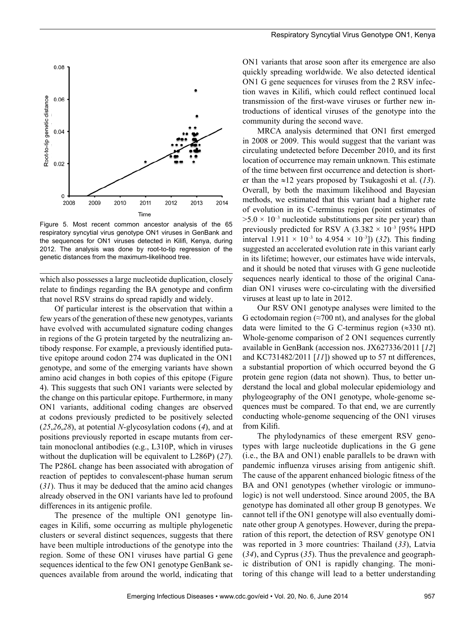

Figure 5. Most recent common ancestor analysis of the 65 respiratory syncytial virus genotype ON1 viruses in GenBank and the sequences for ON1 viruses detected in Kilifi, Kenya, during 2012. The analysis was done by root-to-tip regression of the genetic distances from the maximum-likelihood tree.

which also possesses a large nucleotide duplication, closely relate to findings regarding the BA genotype and confirm that novel RSV strains do spread rapidly and widely.

Of particular interest is the observation that within a few years of the generation of these new genotypes, variants have evolved with accumulated signature coding changes in regions of the G protein targeted by the neutralizing antibody response. For example, a previously identified putative epitope around codon 274 was duplicated in the ON1 genotype, and some of the emerging variants have shown amino acid changes in both copies of this epitope (Figure 4). This suggests that such ON1 variants were selected by the change on this particular epitope. Furthermore, in many ON1 variants, additional coding changes are observed at codons previously predicted to be positively selected (*25*,*26*,*28*), at potential *N*-glycosylation codons (*4*), and at positions previously reported in escape mutants from certain monoclonal antibodies (e.g., L310P, which in viruses without the duplication will be equivalent to L286P) (*27*). The P286L change has been associated with abrogation of reaction of peptides to convalescent-phase human serum (*31*). Thus it may be deduced that the amino acid changes already observed in the ON1 variants have led to profound differences in its antigenic profile.

The presence of the multiple ON1 genotype lineages in Kilifi, some occurring as multiple phylogenetic clusters or several distinct sequences, suggests that there have been multiple introductions of the genotype into the region. Some of these ON1 viruses have partial G gene sequences identical to the few ON1 genotype GenBank sequences available from around the world, indicating that

ON1 variants that arose soon after its emergence are also quickly spreading worldwide. We also detected identical ON1 G gene sequences for viruses from the 2 RSV infection waves in Kilifi, which could reflect continued local transmission of the first-wave viruses or further new introductions of identical viruses of the genotype into the community during the second wave.

MRCA analysis determined that ON1 first emerged in 2008 or 2009. This would suggest that the variant was circulating undetected before December 2010, and its first location of occurrence may remain unknown. This estimate of the time between first occurrence and detection is shorter than the ≈12 years proposed by Tsukagoshi et al. (*13*). Overall, by both the maximum likelihood and Bayesian methods, we estimated that this variant had a higher rate of evolution in its C-terminus region (point estimates of  $>5.0 \times 10^{-3}$  nucleotide substitutions per site per year) than previously predicted for RSV A  $(3.382 \times 10^{-3} \text{ [95\% HPD}$ interval  $1.911 \times 10^{-3}$  to  $4.954 \times 10^{-3}$ ]) (32). This finding suggested an accelerated evolution rate in this variant early in its lifetime; however, our estimates have wide intervals, and it should be noted that viruses with G gene nucleotide sequences nearly identical to those of the original Canadian ON1 viruses were co-circulating with the diversified viruses at least up to late in 2012.

Our RSV ON1 genotype analyses were limited to the G ectodomain region  $(\approx 700 \text{ nt})$ , and analyses for the global data were limited to the G C-terminus region  $(\approx 330 \text{ nt})$ . Whole-genome comparison of 2 ON1 sequences currently available in GenBank (accession nos. JX627336/2011 [*12*] and KC731482/2011 [*11*]) showed up to 57 nt differences, a substantial proportion of which occurred beyond the G protein gene region (data not shown). Thus, to better understand the local and global molecular epidemiology and phylogeography of the ON1 genotype, whole-genome sequences must be compared. To that end, we are currently conducting whole-genome sequencing of the ON1 viruses from Kilifi.

The phylodynamics of these emergent RSV genotypes with large nucleotide duplications in the G gene (i.e., the BA and ON1) enable parallels to be drawn with pandemic influenza viruses arising from antigenic shift. The cause of the apparent enhanced biologic fitness of the BA and ON1 genotypes (whether virologic or immunologic) is not well understood. Since around 2005, the BA genotype has dominated all other group B genotypes. We cannot tell if the ON1 genotype will also eventually dominate other group A genotypes. However, during the preparation of this report, the detection of RSV genotype ON1 was reported in 3 more countries: Thailand (*33*), Latvia (*34*), and Cyprus (*35*). Thus the prevalence and geographic distribution of ON1 is rapidly changing. The monitoring of this change will lead to a better understanding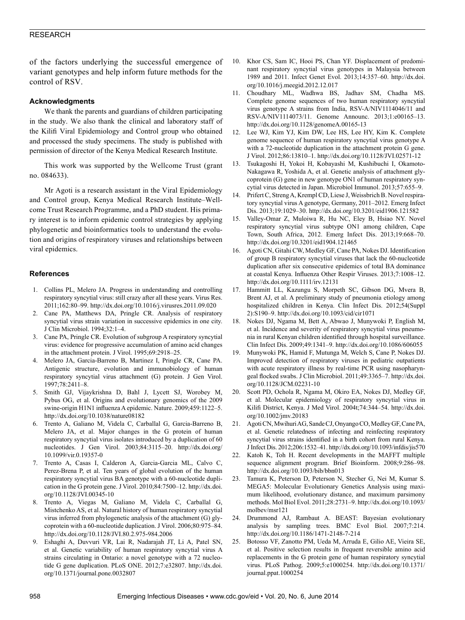of the factors underlying the successful emergence of variant genotypes and help inform future methods for the control of RSV.

### **Acknowledgments**

We thank the parents and guardians of children participating in the study. We also thank the clinical and laboratory staff of the Kilifi Viral Epidemiology and Control group who obtained and processed the study specimens. The study is published with permission of director of the Kenya Medical Research Institute.

This work was supported by the Wellcome Trust (grant no. 084633).

Mr Agoti is a research assistant in the Viral Epidemiology and Control group, Kenya Medical Research Institute–Wellcome Trust Research Programme, and a PhD student. His primary interest is to inform epidemic control strategies by applying phylogenetic and bioinformatics tools to understand the evolution and origins of respiratory viruses and relationships between viral epidemics.

#### **References**

- 1. Collins PL, Melero JA. Progress in understanding and controlling respiratory syncytial virus: still crazy after all these years. Virus Res. 2011;162:80–99. http://dx.doi.org/10.1016/j.virusres.2011.09.020
- 2. Cane PA, Matthews DA, Pringle CR. Analysis of respiratory syncytial virus strain variation in successive epidemics in one city. J Clin Microbiol. 1994;32:1–4.
- 3. Cane PA, Pringle CR. Evolution of subgroup A respiratory syncytial virus: evidence for progressive accumulation of amino acid changes in the attachment protein. J Virol. 1995;69:2918–25.
- 4. Melero JA, Garcia-Barreno B, Martinez I, Pringle CR, Cane PA. Antigenic structure, evolution and immunobiology of human respiratory syncytial virus attachment (G) protein. J Gen Virol. 1997;78:2411–8.
- 5. Smith GJ, Vijaykrishna D, Bahl J, Lycett SJ, Worobey M, Pybus OG, et al. Origins and evolutionary genomics of the 2009 swine-origin H1N1 influenza A epidemic. Nature. 2009;459:1122–5. http://dx.doi.org/10.1038/nature08182
- 6. Trento A, Galiano M, Videla C, Carballal G, Garcia-Barreno B, Melero JA, et al. Major changes in the G protein of human respiratory syncytial virus isolates introduced by a duplication of 60 nucleotides. J Gen Virol. 2003;84:3115–20. http://dx.doi.org/ 10.1099/vir.0.19357-0
- 7. Trento A, Casas I, Calderon A, Garcia-Garcia ML, Calvo C, Perez-Brena P, et al. Ten years of global evolution of the human respiratory syncytial virus BA genotype with a 60-nucleotide duplication in the G protein gene. J Virol. 2010;84:7500–12. http://dx.doi. org/10.1128/JVI.00345-10
- 8. Trento A, Viegas M, Galiano M, Videla C, Carballal G, Mistchenko AS, et al. Natural history of human respiratory syncytial virus inferred from phylogenetic analysis of the attachment (G) glycoprotein with a 60-nucleotide duplication. J Virol. 2006;80:975–84. http://dx.doi.org/10.1128/JVI.80.2.975-984.2006
- 9. Eshaghi A, Duvvuri VR, Lai R, Nadarajah JT, Li A, Patel SN, et al. Genetic variability of human respiratory syncytial virus A strains circulating in Ontario: a novel genotype with a 72 nucleotide G gene duplication. PLoS ONE. 2012;7:e32807. http://dx.doi. org/10.1371/journal.pone.0032807
- 10. Khor CS, Sam IC, Hooi PS, Chan YF. Displacement of predominant respiratory syncytial virus genotypes in Malaysia between 1989 and 2011. Infect Genet Evol. 2013;14:357–60. http://dx.doi. org/10.1016/j.meegid.2012.12.017
- 11. Choudhary ML, Wadhwa BS, Jadhav SM, Chadha MS. Complete genome sequences of two human respiratory syncytial virus genotype A strains from India, RSV-A/NIV1114046/11 and RSV-A/NIV1114073/11. Genome Announc. 2013;1:e00165–13. http://dx.doi.org/10.1128/genomeA.00165-13
- 12. Lee WJ, Kim YJ, Kim DW, Lee HS, Lee HY, Kim K. Complete genome sequence of human respiratory syncytial virus genotype A with a 72-nucleotide duplication in the attachment protein G gene. J Virol. 2012;86:13810–1. http://dx.doi.org/10.1128/JVI.02571-12
- 13. Tsukagoshi H, Yokoi H, Kobayashi M, Kushibuchi I, Okamoto-Nakagawa R, Yoshida A, et al. Genetic analysis of attachment glycoprotein (G) gene in new genotype ON1 of human respiratory syncytial virus detected in Japan. Microbiol Immunol. 2013;57:655–9.
- 14. Prifert C, Streng A, Krempl CD, Liese J, Weissbrich B. Novel respiratory syncytial virus A genotype, Germany, 2011–2012. Emerg Infect Dis. 2013;19:1029–30. http://dx.doi.org/10.3201/eid1906.121582
- 15. Valley-Omar Z, Muloiwa R, Hu NC, Eley B, Hsiao NY. Novel respiratory syncytial virus subtype ON1 among children, Cape Town, South Africa, 2012. Emerg Infect Dis. 2013;19:668–70. http://dx.doi.org/10.3201/eid1904.121465
- 16. Agoti CN, Gitahi CW, Medley GF, Cane PA, Nokes DJ. Identification of group B respiratory syncytial viruses that lack the 60-nucleotide duplication after six consecutive epidemics of total BA dominance at coastal Kenya. Influenza Other Respir Viruses. 2013;7:1008–12. http://dx.doi.org/10.1111/irv.12131
- 17. Hammitt LL, Kazungu S, Morpeth SC, Gibson DG, Mvera B, Brent AJ, et al. A preliminary study of pneumonia etiology among hospitalized children in Kenya. Clin Infect Dis. 2012;54(Suppl 2):S190–9. http://dx.doi.org/10.1093/cid/cir1071
- 18. Nokes DJ, Ngama M, Bett A, Abwao J, Munywoki P, English M, et al. Incidence and severity of respiratory syncytial virus pneumonia in rural Kenyan children identified through hospital surveillance. Clin Infect Dis. 2009;49:1341–9. http://dx.doi.org/10.1086/606055
- 19. Munywoki PK, Hamid F, Mutunga M, Welch S, Cane P, Nokes DJ. Improved detection of respiratory viruses in pediatric outpatients with acute respiratory illness by real-time PCR using nasopharyngeal flocked swabs. J Clin Microbiol. 2011;49:3365–7. http://dx.doi. org/10.1128/JCM.02231-10
- 20. Scott PD, Ochola R, Ngama M, Okiro EA, Nokes DJ, Medley GF, et al. Molecular epidemiology of respiratory syncytial virus in Kilifi District, Kenya. J Med Virol. 2004t;74:344–54. http://dx.doi. org/10.1002/jmv.20183
- 21. Agoti CN, Mwihuri AG, Sande CJ, Onyango CO, Medley GF, Cane PA, et al. Genetic relatedness of infecting and reinfecting respiratory syncytial virus strains identified in a birth cohort from rural Kenya. J Infect Dis. 2012;206:1532–41. http://dx.doi.org/10.1093/infdis/jis570
- 22. Katoh K, Toh H. Recent developments in the MAFFT multiple sequence alignment program. Brief Bioinform. 2008;9:286–98. http://dx.doi.org/10.1093/bib/bbn013
- 23. Tamura K, Peterson D, Peterson N, Stecher G, Nei M, Kumar S. MEGA5: Molecular Evolutionary Genetics Analysis using maximum likelihood, evolutionary distance, and maximum parsimony methods. Mol Biol Evol. 2011;28:2731–9. http://dx.doi.org/10.1093/ molbev/msr121
- 24. Drummond AJ, Rambaut A. BEAST: Bayesian evolutionary analysis by sampling trees. BMC Evol Biol. 2007;7:214. http://dx.doi.org/10.1186/1471-2148-7-214
- 25. Botosso VF, Zanotto PM, Ueda M, Arruda E, Gilio AE, Vieira SE, et al. Positive selection results in frequent reversible amino acid replacements in the G protein gene of human respiratory syncytial virus. PLoS Pathog. 2009;5:e1000254. http://dx.doi.org/10.1371/ journal.ppat.1000254